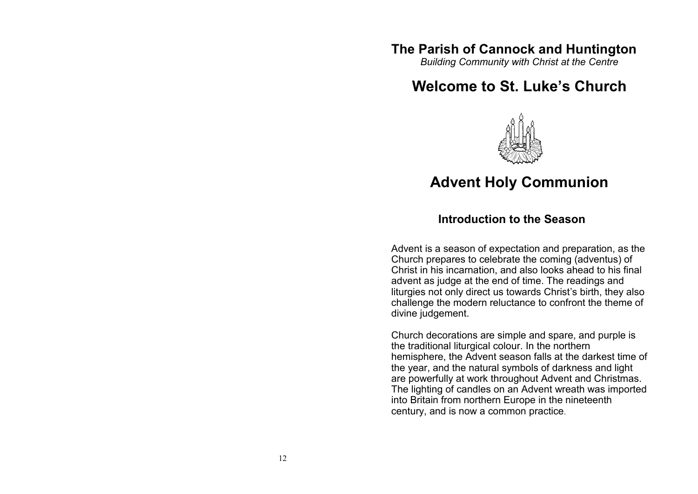### **The Parish of Cannock and Huntington**

*Building Community with Christ at the Centre*

# **Welcome to St. Luke's Church**



# **Advent Holy Communion**

#### **Introduction to the Season**

Advent is a season of expectation and preparation, as the Church prepares to celebrate the coming (adventus) of Christ in his incarnation, and also looks ahead to his final advent as judge at the end of time. The readings and liturgies not only direct us towards Christ's birth, they also challenge the modern reluctance to confront the theme of divine judgement.

Church decorations are simple and spare, and purple is the traditional liturgical colour. In the northern hemisphere, the Advent season falls at the darkest time of the year, and the natural symbols of darkness and light are powerfully at work throughout Advent and Christmas. The lighting of candles on an Advent wreath was imported into Britain from northern Europe in the nineteenth century, and is now a common practice.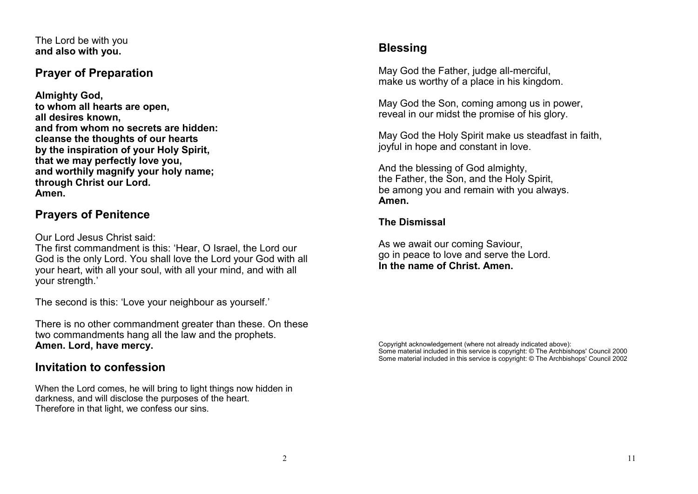The Lord be with you **and also with you.**

### **Prayer of Preparation**

**Almighty God, to whom all hearts are open, all desires known, and from whom no secrets are hidden: cleanse the thoughts of our hearts by the inspiration of your Holy Spirit, that we may perfectly love you, and worthily magnify your holy name; through Christ our Lord. Amen.**

### **Prayers of Penitence**

Our Lord Jesus Christ said:

The first commandment is this: 'Hear, O Israel, the Lord our God is the only Lord. You shall love the Lord your God with all your heart, with all your soul, with all your mind, and with all your strength.'

The second is this: 'Love your neighbour as yourself.'

There is no other commandment greater than these. On these two commandments hang all the law and the prophets. **Amen. Lord, have mercy.**

### **Invitation to confession**

When the Lord comes, he will bring to light things now hidden in darkness, and will disclose the purposes of the heart. Therefore in that light, we confess our sins.

## **Blessing**

May God the Father, judge all-merciful, make us worthy of a place in his kingdom.

May God the Son, coming among us in power, reveal in our midst the promise of his glory.

May God the Holy Spirit make us steadfast in faith, joyful in hope and constant in love.

And the blessing of God almighty, the Father, the Son, and the Holy Spirit, be among you and remain with you always. **Amen.**

#### **The Dismissal**

As we await our coming Saviour, go in peace to love and serve the Lord. **In the name of Christ. Amen.**

Copyright acknowledgement (where not already indicated above): Some material included in this service is copyright: © The Archbishops' Council 2000 Some material included in this service is copyright: © The Archbishops' Council 2002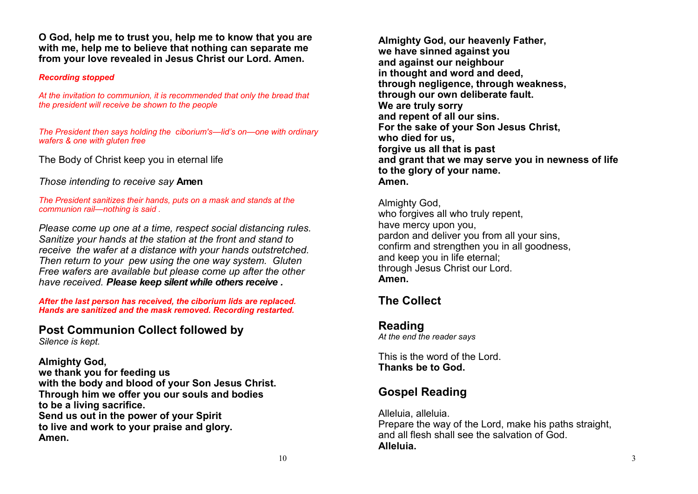**O God, help me to trust you, help me to know that you are with me, help me to believe that nothing can separate me from your love revealed in Jesus Christ our Lord. Amen.** 

#### *Recording stopped*

*At the invitation to communion, it is recommended that only the bread that the president will receive be shown to the people*

*The President then says holding the ciborium's—lid's on—one with ordinary wafers & one with gluten free* 

The Body of Christ keep you in eternal life

*Those intending to receive say* **Amen**

*The President sanitizes their hands, puts on a mask and stands at the communion rail—nothing is said .*

*Please come up one at a time, respect social distancing rules. Sanitize your hands at the station at the front and stand to receive the wafer at a distance with your hands outstretched. Then return to your pew using the one way system. Gluten Free wafers are available but please come up after the other have received. Please keep silent while others receive .*

*After the last person has received, the ciborium lids are replaced. Hands are sanitized and the mask removed. Recording restarted.*

**Post Communion Collect followed by** *Silence is kept.*

#### **Almighty God,**

**we thank you for feeding us with the body and blood of your Son Jesus Christ. Through him we offer you our souls and bodies to be a living sacrifice. Send us out in the power of your Spirit to live and work to your praise and glory. Amen.**

**Almighty God, our heavenly Father, we have sinned against you and against our neighbour in thought and word and deed, through negligence, through weakness, through our own deliberate fault. We are truly sorry and repent of all our sins. For the sake of your Son Jesus Christ, who died for us, forgive us all that is past and grant that we may serve you in newness of life to the glory of your name. Amen.** 

Almighty God, who forgives all who truly repent. have mercy upon you, pardon and deliver you from all your sins, confirm and strengthen you in all goodness, and keep you in life eternal; through Jesus Christ our Lord. **Amen.**

### **The Collect**

**Reading** *At the end the reader says*

This is the word of the Lord. **Thanks be to God.**

## **Gospel Reading**

Alleluia, alleluia. Prepare the way of the Lord, make his paths straight, and all flesh shall see the salvation of God. **Alleluia.**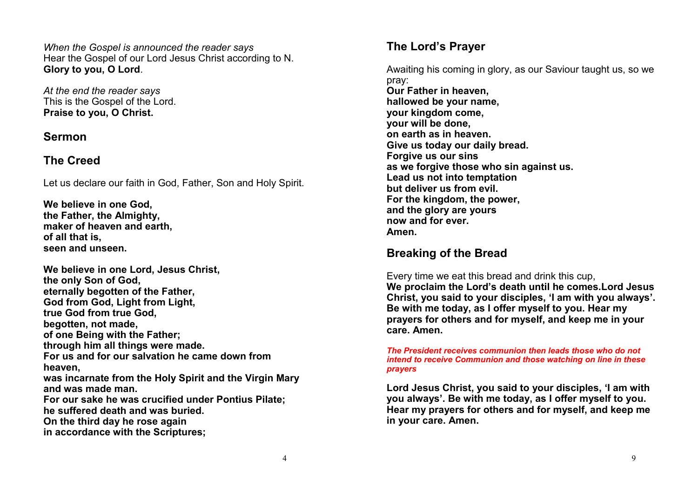*When the Gospel is announced the reader says* Hear the Gospel of our Lord Jesus Christ according to N. **Glory to you, O Lord**.

*At the end the reader says* This is the Gospel of the Lord. **Praise to you, O Christ.**

### **Sermon**

### **The Creed**

Let us declare our faith in God, Father, Son and Holy Spirit.

**We believe in one God, the Father, the Almighty, maker of heaven and earth, of all that is, seen and unseen.**

**We believe in one Lord, Jesus Christ, the only Son of God, eternally begotten of the Father, God from God, Light from Light, true God from true God, begotten, not made, of one Being with the Father; through him all things were made. For us and for our salvation he came down from heaven, was incarnate from the Holy Spirit and the Virgin Mary and was made man. For our sake he was crucified under Pontius Pilate; he suffered death and was buried. On the third day he rose again in accordance with the Scriptures;**

# **The Lord's Prayer**

Awaiting his coming in glory, as our Saviour taught us, so we pray: **Our Father in heaven, hallowed be your name, your kingdom come, your will be done, on earth as in heaven. Give us today our daily bread. Forgive us our sins as we forgive those who sin against us. Lead us not into temptation but deliver us from evil. For the kingdom, the power, and the glory are yours now and for ever. Amen.**

## **Breaking of the Bread**

Every time we eat this bread and drink this cup, **We proclaim the Lord's death until he comes.Lord Jesus Christ, you said to your disciples, 'I am with you always'. Be with me today, as I offer myself to you. Hear my prayers for others and for myself, and keep me in your care. Amen.**

*The President receives communion then leads those who do not intend to receive Communion and those watching on line in these prayers*

**Lord Jesus Christ, you said to your disciples, 'I am with you always'. Be with me today, as I offer myself to you. Hear my prayers for others and for myself, and keep me in your care. Amen.**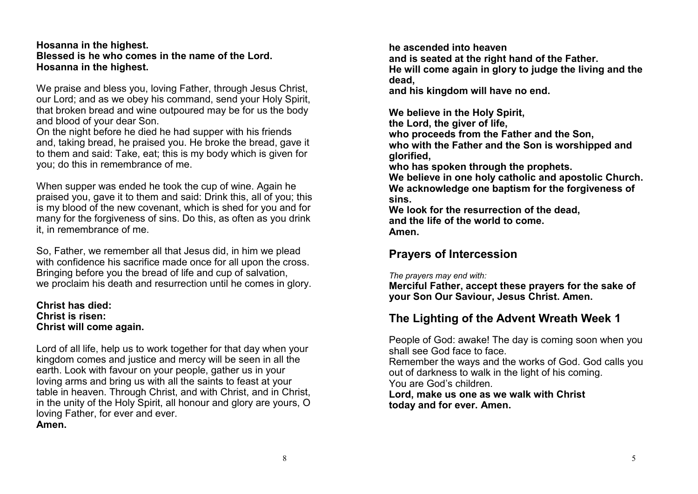#### **Hosanna in the highest. Blessed is he who comes in the name of the Lord. Hosanna in the highest.**

We praise and bless you, loving Father, through Jesus Christ, our Lord; and as we obey his command, send your Holy Spirit, that broken bread and wine outpoured may be for us the body and blood of your dear Son.

On the night before he died he had supper with his friends and, taking bread, he praised you. He broke the bread, gave it to them and said: Take, eat; this is my body which is given for you; do this in remembrance of me.

When supper was ended he took the cup of wine. Again he praised you, gave it to them and said: Drink this, all of you; this is my blood of the new covenant, which is shed for you and for many for the forgiveness of sins. Do this, as often as you drink it, in remembrance of me.

So, Father, we remember all that Jesus did, in him we plead with confidence his sacrifice made once for all upon the cross. Bringing before you the bread of life and cup of salvation, we proclaim his death and resurrection until he comes in glory.

**Christ has died: Christ is risen: Christ will come again.**

Lord of all life, help us to work together for that day when your kingdom comes and justice and mercy will be seen in all the earth. Look with favour on your people, gather us in your loving arms and bring us with all the saints to feast at your table in heaven. Through Christ, and with Christ, and in Christ, in the unity of the Holy Spirit, all honour and glory are yours, O loving Father, for ever and ever. **Amen.**

**he ascended into heaven**

**and is seated at the right hand of the Father.**

**He will come again in glory to judge the living and the dead,**

**and his kingdom will have no end.**

**We believe in the Holy Spirit, the Lord, the giver of life, who proceeds from the Father and the Son, who with the Father and the Son is worshipped and glorified, who has spoken through the prophets.**

**We believe in one holy catholic and apostolic Church. We acknowledge one baptism for the forgiveness of sins.**

**We look for the resurrection of the dead, and the life of the world to come. Amen.**

## **Prayers of Intercession**

*The prayers may end with:*

**Merciful Father, accept these prayers for the sake of your Son Our Saviour, Jesus Christ. Amen.**

# **The Lighting of the Advent Wreath Week 1**

People of God: awake! The day is coming soon when you shall see God face to face.

Remember the ways and the works of God. God calls you out of darkness to walk in the light of his coming. You are God's children.

**Lord, make us one as we walk with Christ today and for ever. Amen.**